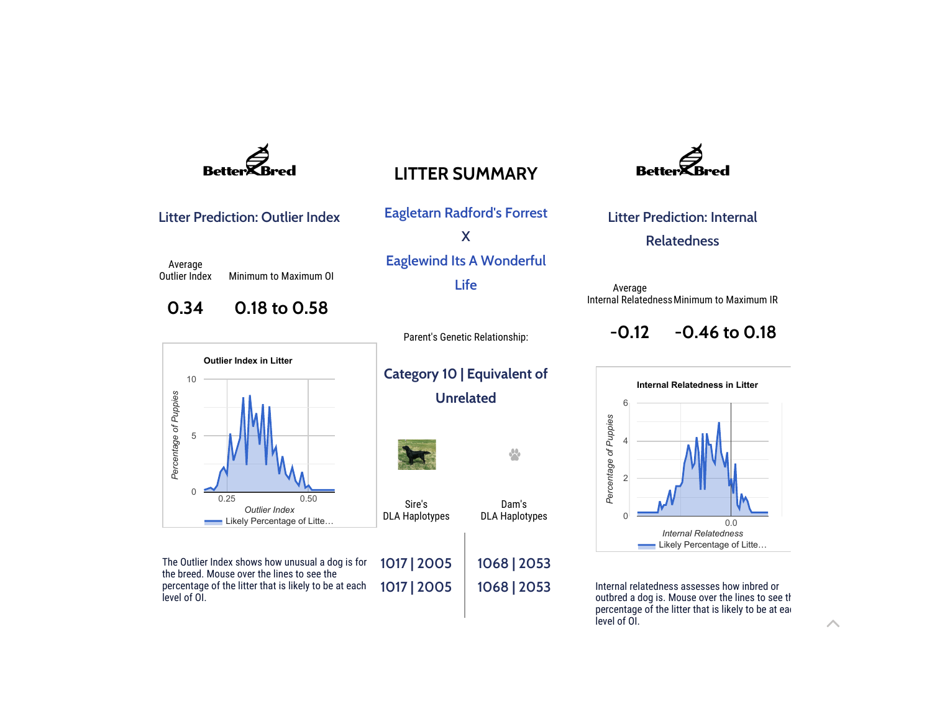

## LITTER SUMMARY

Litter Prediction: Outlier Index

Average Outlier Index Minimum to Maximum OI

## 0.34 0.18 to 0.58



The Outlier Index shows how unusual a dog is for the breed. Mouse over the lines to see the percentage of the litter that is likely to be at each level of OI. 1017 | 2005 1017 | 2005

Eagletarn Radford's Forrest X Eaglewind Its A Wonderful Life

Parent's Genetic Relationship:

## Category 10 | Equivalent of Unrelated

Sire's DLA Haplotypes

Dam's DLA Haplotypes

 $\sqrt{2}$ 

1068 | 2053 1068 | 2053



Litter Prediction: Internal Relatedness

Average Internal Relatedness Minimum to Maximum IR

> $-0.12$ -0.46 to 0.18



Internal relatedness assesses how inbred or outbred a dog is. Mouse over the lines to see the percentage of the litter that is likely to be at ear level of OI.

 $\triangle$